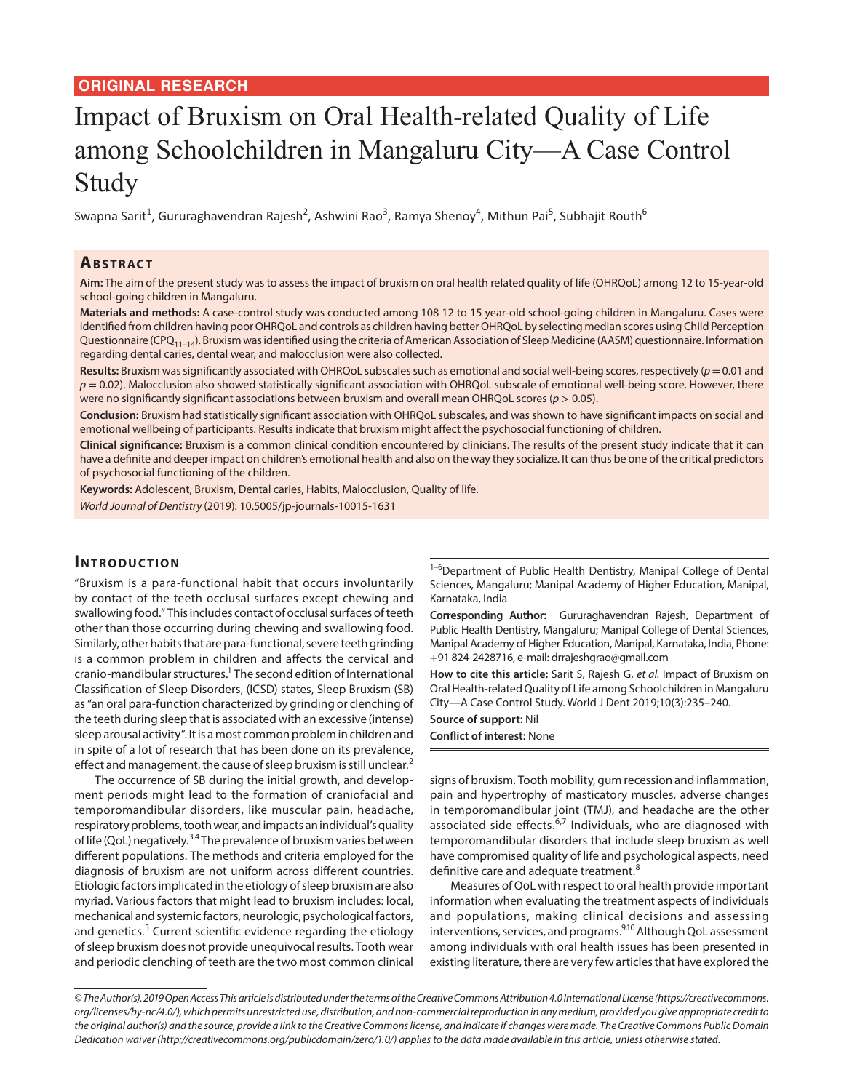#### **ORIGINAL RESEARCH**

# Impact of Bruxism on Oral Health-related Quality of Life among Schoolchildren in Mangaluru City—A Case Control Study

Swapna Sarit<sup>1</sup>, Gururaghavendran Rajesh<sup>2</sup>, Ashwini Rao<sup>3</sup>, Ramya Shenoy<sup>4</sup>, Mithun Pai<sup>5</sup>, Subhajit Routh<sup>6</sup>

#### **ABSTRACT**

**Aim:** The aim of the present study was to assess the impact of bruxism on oral health related quality of life (OHRQoL) among 12 to 15-year-old school-going children in Mangaluru.

**Materials and methods:** A case-control study was conducted among 108 12 to 15 year-old school-going children in Mangaluru. Cases were identified from children having poor OHRQoL and controls as children having better OHRQoL by selecting median scores using Child Perception Questionnaire (CPQ<sub>11–14</sub>). Bruxism was identified using the criteria of American Association of Sleep Medicine (AASM) questionnaire. Information regarding dental caries, dental wear, and malocclusion were also collected.

**Results:** Bruxism was significantly associated with OHRQoL subscales such as emotional and social well-being scores, respectively (*p*= 0.01 and  $p = 0.02$ ). Malocclusion also showed statistically significant association with OHRQoL subscale of emotional well-being score. However, there were no significantly significant associations between bruxism and overall mean OHRQoL scores ( $p > 0.05$ ).

**Conclusion:** Bruxism had statistically significant association with OHRQoL subscales, and was shown to have significant impacts on social and emotional wellbeing of participants. Results indicate that bruxism might affect the psychosocial functioning of children.

**Clinical significance:** Bruxism is a common clinical condition encountered by clinicians. The results of the present study indicate that it can have a definite and deeper impact on children's emotional health and also on the way they socialize. It can thus be one of the critical predictors of psychosocial functioning of the children.

**Keywords:** Adolescent, Bruxism, Dental caries, Habits, Malocclusion, Quality of life.

*World Journal of Dentistry* (2019): 10.5005/jp-journals-10015-1631

## **INTRODUCTION**

"Bruxism is a para-functional habit that occurs involuntarily by contact of the teeth occlusal surfaces except chewing and swallowing food." This includes contact of occlusal surfaces of teeth other than those occurring during chewing and swallowing food. Similarly, other habits that are para-functional, severe teeth grinding is a common problem in children and affects the cervical and cranio-mandibular structures.<sup>1</sup> The second edition of International Classification of Sleep Disorders, (ICSD) states, Sleep Bruxism (SB) as "an oral para-function characterized by grinding or clenching of the teeth during sleep that is associated with an excessive (intense) sleep arousal activity". It is a most common problem in children and in spite of a lot of research that has been done on its prevalence, effect and management, the cause of sleep bruxism is still unclear.<sup>2</sup>

The occurrence of SB during the initial growth, and development periods might lead to the formation of craniofacial and temporomandibular disorders, like muscular pain, headache, respiratory problems, tooth wear, and impacts an individual's quality of life (QoL) negatively.<sup>3,4</sup> The prevalence of bruxism varies between different populations. The methods and criteria employed for the diagnosis of bruxism are not uniform across different countries. Etiologic factors implicated in the etiology of sleep bruxism are also myriad. Various factors that might lead to bruxism includes: local, mechanical and systemic factors, neurologic, psychological factors, and genetics.<sup>5</sup> Current scientific evidence regarding the etiology of sleep bruxism does not provide unequivocal results. Tooth wear and periodic clenching of teeth are the two most common clinical

<sup>1-6</sup>Department of Public Health Dentistry, Manipal College of Dental Sciences, Mangaluru; Manipal Academy of Higher Education, Manipal, Karnataka, India

**Corresponding Author:** Gururaghavendran Rajesh, Department of Public Health Dentistry, Mangaluru; Manipal College of Dental Sciences, Manipal Academy of Higher Education, Manipal, Karnataka, India, Phone: +91 824-2428716, e-mail: drrajeshgrao@gmail.com

**How to cite this article:** Sarit S, Rajesh G, *et al.* Impact of Bruxism on Oral Health-related Quality of Life among Schoolchildren in Mangaluru City—A Case Control Study. World J Dent 2019;10(3):235–240.

**Source of support:** Nil **Conflict of interest:** None

signs of bruxism. Tooth mobility, gum recession and inflammation, pain and hypertrophy of masticatory muscles, adverse changes in temporomandibular joint (TMJ), and headache are the other associated side effects.<sup>6,7</sup> Individuals, who are diagnosed with temporomandibular disorders that include sleep bruxism as well have compromised quality of life and psychological aspects, need definitive care and adequate treatment.<sup>8</sup>

Measures of QoL with respect to oral health provide important information when evaluating the treatment aspects of individuals and populations, making clinical decisions and assessing interventions, services, and programs.<sup>9,10</sup> Although QoL assessment among individuals with oral health issues has been presented in existing literature, there are very few articles that have explored the

*<sup>©</sup> The Author(s). 2019 Open Access This article is distributed under the terms of the Creative Commons Attribution 4.0 International License (https://creativecommons. org/licenses/by-nc/4.0/), which permits unrestricted use, distribution, and non-commercial reproduction in any medium, provided you give appropriate credit to the original author(s) and the source, provide a link to the Creative Commons license, and indicate if changes were made. The Creative Commons Public Domain Dedication waiver (http://creativecommons.org/publicdomain/zero/1.0/) applies to the data made available in this article, unless otherwise stated.*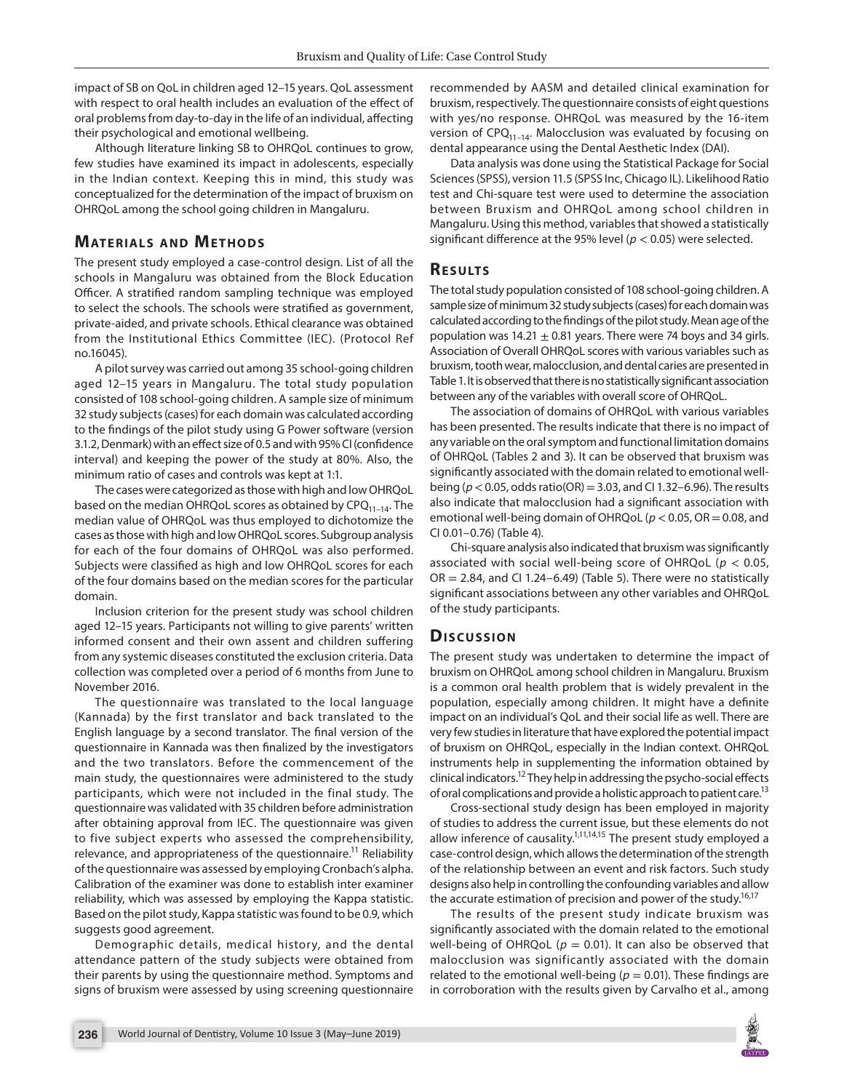impact of SB on QoL in children aged 12–15 years. QoL assessment with respect to oral health includes an evaluation of the effect of oral problems from day-to-day in the life of an individual, affecting their psychological and emotional wellbeing.

Although literature linking SB to OHRQoL continues to grow, few studies have examined its impact in adolescents, especially in the Indian context. Keeping this in mind, this study was conceptualized for the determination of the impact of bruxism on OHRQoL among the school going children in Mangaluru.

# **MATERIALS AND METHODS**

The present study employed a case-control design. List of all the schools in Mangaluru was obtained from the Block Education Officer. A stratified random sampling technique was employed to select the schools. The schools were stratified as government, private-aided, and private schools. Ethical clearance was obtained from the Institutional Ethics Committee (IEC). (Protocol Ref no.16045).

A pilot survey was carried out among 35 school-going children aged 12–15 years in Mangaluru. The total study population consisted of 108 school-going children. A sample size of minimum 32 study subjects (cases) for each domain was calculated according to the findings of the pilot study using G Power software (version 3.1.2, Denmark) with an effect size of 0.5 and with 95% CI (confidence interval) and keeping the power of the study at 80%. Also, the minimum ratio of cases and controls was kept at 1:1.

The cases were categorized as those with high and low OHRQoL based on the median OHRQoL scores as obtained by  $\text{CPQ}_{11-14}$ . The median value of OHRQoL was thus employed to dichotomize the cases as those with high and low OHRQoL scores. Subgroup analysis for each of the four domains of OHRQoL was also performed. Subjects were classified as high and low OHRQoL scores for each of the four domains based on the median scores for the particular domain.

Inclusion criterion for the present study was school children aged 12–15 years. Participants not willing to give parents' written informed consent and their own assent and children suffering from any systemic diseases constituted the exclusion criteria. Data collection was completed over a period of 6 months from June to November 2016.

The questionnaire was translated to the local language (Kannada) by the first translator and back translated to the English language by a second translator. The final version of the questionnaire in Kannada was then finalized by the investigators and the two translators. Before the commencement of the main study, the questionnaires were administered to the study participants, which were not included in the final study. The questionnaire was validated with 35 children before administration after obtaining approval from IEC. The questionnaire was given to five subject experts who assessed the comprehensibility, relevance, and appropriateness of the questionnaire.<sup>11</sup> Reliability of the questionnaire was assessed by employing Cronbach's alpha. Calibration of the examiner was done to establish inter examiner reliability, which was assessed by employing the Kappa statistic. Based on the pilot study, Kappa statistic was found to be 0.9, which suggests good agreement.

Demographic details, medical history, and the dental attendance pattern of the study subjects were obtained from their parents by using the questionnaire method. Symptoms and signs of bruxism were assessed by using screening questionnaire recommended by AASM and detailed clinical examination for bruxism, respectively. The questionnaire consists of eight questions with yes/no response. OHRQoL was measured by the 16-item version of  $CPO_{11-14}$ . Malocclusion was evaluated by focusing on dental appearance using the Dental Aesthetic Index (DAI).

Data analysis was done using the Statistical Package for Social Sciences (SPSS), version 11.5 (SPSS Inc, Chicago IL). Likelihood Ratio test and Chi-square test were used to determine the association between Bruxism and OHRQoL among school children in Mangaluru. Using this method, variables that showed a statistically significant difference at the 95% level (*p* < 0.05) were selected.

# **RESULTS**

The total study population consisted of 108 school-going children. A sample size of minimum 32 study subjects (cases) for each domain was calculated according to the findings of the pilot study. Mean age of the population was  $14.21 \pm 0.81$  years. There were 74 boys and 34 girls. Association of Overall OHRQoL scores with various variables such as bruxism, tooth wear, malocclusion, and dental caries are presented in Table 1. It is observed that there is no statistically significant association between any of the variables with overall score of OHRQoL.

The association of domains of OHRQoL with various variables has been presented. The results indicate that there is no impact of any variable on the oral symptom and functional limitation domains of OHRQoL (Tables 2 and 3). It can be observed that bruxism was significantly associated with the domain related to emotional wellbeing (*p*< 0.05, odds ratio(OR) = 3.03, and CI 1.32–6.96). The results also indicate that malocclusion had a significant association with emotional well-being domain of OHRQoL (*p*< 0.05, OR = 0.08, and CI 0.01–0.76) (Table 4).

Chi-square analysis also indicated that bruxism was significantly associated with social well-being score of OHRQoL (*p* < 0.05,  $OR = 2.84$ , and CI 1.24–6.49) (Table 5). There were no statistically significant associations between any other variables and OHRQoL of the study participants.

#### **Dis c u s sio n**

The present study was undertaken to determine the impact of bruxism on OHRQoL among school children in Mangaluru. Bruxism is a common oral health problem that is widely prevalent in the population, especially among children. It might have a definite impact on an individual's QoL and their social life as well. There are very few studies in literature that have explored the potential impact of bruxism on OHRQoL, especially in the Indian context. OHRQoL instruments help in supplementing the information obtained by clinical indicators.<sup>12</sup> They help in addressing the psycho-social effects of oral complications and provide a holistic approach to patient care.<sup>13</sup>

Cross-sectional study design has been employed in majority of studies to address the current issue, but these elements do not allow inference of causality.<sup>1,11,14,15</sup> The present study employed a case-control design, which allows the determination of the strength of the relationship between an event and risk factors. Such study designs also help in controlling the confounding variables and allow the accurate estimation of precision and power of the study.<sup>16,17</sup>

The results of the present study indicate bruxism was significantly associated with the domain related to the emotional well-being of OHRQoL ( $p = 0.01$ ). It can also be observed that malocclusion was significantly associated with the domain related to the emotional well-being ( $p = 0.01$ ). These findings are in corroboration with the results given by Carvalho et al., among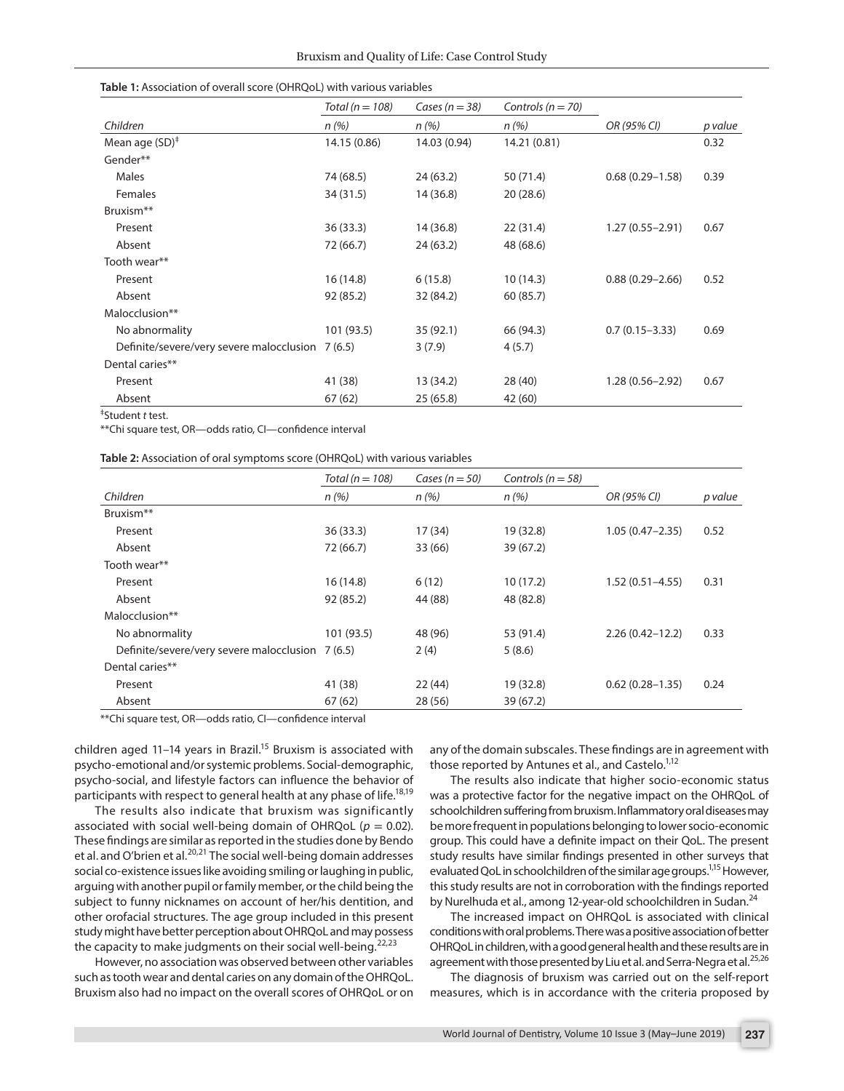| Table 1: Association of overall score (OHRQoL) with various variables |  |
|-----------------------------------------------------------------------|--|
|-----------------------------------------------------------------------|--|

|                                                  | Total ( $n = 108$ ) | Cases ( $n = 38$ ) | Controls ( $n = 70$ ) |                     |         |
|--------------------------------------------------|---------------------|--------------------|-----------------------|---------------------|---------|
| Children                                         | n(%)                | n(%)               | n(%)                  | OR (95% CI)         | p value |
| Mean age $(SD)^{\ddagger}$                       | 14.15 (0.86)        | 14.03 (0.94)       | 14.21 (0.81)          |                     | 0.32    |
| Gender**                                         |                     |                    |                       |                     |         |
| Males                                            | 74 (68.5)           | 24(63.2)           | 50 (71.4)             | $0.68(0.29 - 1.58)$ | 0.39    |
| Females                                          | 34 (31.5)           | 14(36.8)           | 20(28.6)              |                     |         |
| Bruxism <sup>**</sup>                            |                     |                    |                       |                     |         |
| Present                                          | 36 (33.3)           | 14 (36.8)          | 22(31.4)              | $1.27(0.55 - 2.91)$ | 0.67    |
| Absent                                           | 72 (66.7)           | 24(63.2)           | 48 (68.6)             |                     |         |
| Tooth wear**                                     |                     |                    |                       |                     |         |
| Present                                          | 16(14.8)            | 6(15.8)            | 10(14.3)              | $0.88(0.29 - 2.66)$ | 0.52    |
| Absent                                           | 92 (85.2)           | 32 (84.2)          | 60 (85.7)             |                     |         |
| Malocclusion**                                   |                     |                    |                       |                     |         |
| No abnormality                                   | 101 (93.5)          | 35 (92.1)          | 66 (94.3)             | $0.7(0.15 - 3.33)$  | 0.69    |
| Definite/severe/very severe malocclusion 7 (6.5) |                     | 3(7.9)             | 4(5.7)                |                     |         |
| Dental caries**                                  |                     |                    |                       |                     |         |
| Present                                          | 41 (38)             | 13 (34.2)          | 28 (40)               | $1.28(0.56 - 2.92)$ | 0.67    |
| Absent                                           | 67(62)              | 25(65.8)           | 42 (60)               |                     |         |

‡ Student *t* test.

\*\*Chi square test, OR—odds ratio, CI—confidence interval

|                                                  | Total ( $n = 108$ ) | Cases ( $n = 50$ ) | Controls ( $n = 58$ ) |                     |         |
|--------------------------------------------------|---------------------|--------------------|-----------------------|---------------------|---------|
| Children                                         | n(%)                | n(%)               | n(%)                  | OR (95% CI)         | p value |
| Bruxism**                                        |                     |                    |                       |                     |         |
| Present                                          | 36(33.3)            | 17(34)             | 19 (32.8)             | $1.05(0.47 - 2.35)$ | 0.52    |
| Absent                                           | 72 (66.7)           | 33 (66)            | 39 (67.2)             |                     |         |
| Tooth wear**                                     |                     |                    |                       |                     |         |
| Present                                          | 16(14.8)            | 6(12)              | 10(17.2)              | $1.52(0.51 - 4.55)$ | 0.31    |
| Absent                                           | 92 (85.2)           | 44 (88)            | 48 (82.8)             |                     |         |
| Malocclusion**                                   |                     |                    |                       |                     |         |
| No abnormality                                   | 101 (93.5)          | 48 (96)            | 53 (91.4)             | $2.26(0.42 - 12.2)$ | 0.33    |
| Definite/severe/very severe malocclusion 7 (6.5) |                     | 2(4)               | 5(8.6)                |                     |         |
| Dental caries**                                  |                     |                    |                       |                     |         |
| Present                                          | 41 (38)             | 22(44)             | 19 (32.8)             | $0.62(0.28 - 1.35)$ | 0.24    |
| Absent                                           | 67(62)              | 28 (56)            | 39 (67.2)             |                     |         |

\*\*Chi square test, OR—odds ratio, CI—confidence interval

children aged 11-14 years in Brazil.<sup>15</sup> Bruxism is associated with psycho-emotional and/or systemic problems. Social-demographic, psycho-social, and lifestyle factors can influence the behavior of participants with respect to general health at any phase of life.<sup>18,19</sup>

The results also indicate that bruxism was significantly associated with social well-being domain of OHRQoL ( $p = 0.02$ ). These findings are similar as reported in the studies done by Bendo et al. and O'brien et al.<sup>20,21</sup> The social well-being domain addresses social co-existence issues like avoiding smiling or laughing in public, arguing with another pupil or family member, or the child being the subject to funny nicknames on account of her/his dentition, and other orofacial structures. The age group included in this present study might have better perception about OHRQoL and may possess the capacity to make judgments on their social well-being.<sup>22,23</sup>

However, no association was observed between other variables such as tooth wear and dental caries on any domain of the OHRQoL. Bruxism also had no impact on the overall scores of OHRQoL or on any of the domain subscales. These findings are in agreement with those reported by Antunes et al., and Castelo.<sup>1,12</sup>

The results also indicate that higher socio-economic status was a protective factor for the negative impact on the OHRQoL of schoolchildren suffering from bruxism. Inflammatory oral diseases may be more frequent in populations belonging to lower socio-economic group. This could have a definite impact on their QoL. The present study results have similar findings presented in other surveys that evaluated QoL in schoolchildren of the similar age groups.<sup>1,15</sup> However, this study results are not in corroboration with the findings reported by Nurelhuda et al., among 12-year-old schoolchildren in Sudan.<sup>24</sup>

The increased impact on OHRQoL is associated with clinical conditions with oral problems. There was a positive association of better OHRQoL in children, with a good general health and these results are in agreement with those presented by Liu et al. and Serra-Negra et al.<sup>25,26</sup>

The diagnosis of bruxism was carried out on the self-report measures, which is in accordance with the criteria proposed by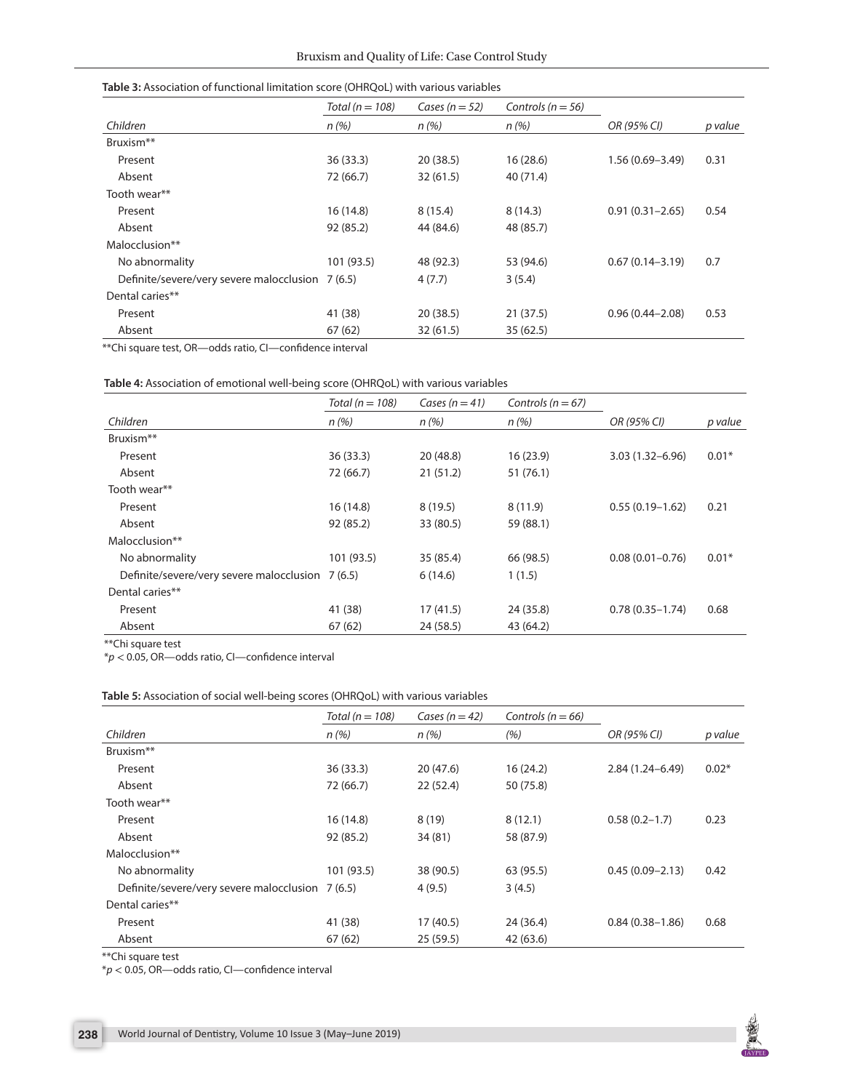|                                                  | Total ( $n = 108$ ) | Cases ( $n = 52$ ) | Controls ( $n = 56$ ) |                     |         |
|--------------------------------------------------|---------------------|--------------------|-----------------------|---------------------|---------|
| Children                                         | n(%)                | n(%)               | n(%)                  | OR (95% CI)         | p value |
| Bruxism <sup>**</sup>                            |                     |                    |                       |                     |         |
| Present                                          | 36(33.3)            | 20(38.5)           | 16(28.6)              | $1.56(0.69 - 3.49)$ | 0.31    |
| Absent                                           | 72 (66.7)           | 32(61.5)           | 40 (71.4)             |                     |         |
| Tooth wear**                                     |                     |                    |                       |                     |         |
| Present                                          | 16(14.8)            | 8(15.4)            | 8(14.3)               | $0.91(0.31 - 2.65)$ | 0.54    |
| Absent                                           | 92 (85.2)           | 44 (84.6)          | 48 (85.7)             |                     |         |
| Malocclusion**                                   |                     |                    |                       |                     |         |
| No abnormality                                   | 101 (93.5)          | 48 (92.3)          | 53 (94.6)             | $0.67(0.14 - 3.19)$ | 0.7     |
| Definite/severe/very severe malocclusion 7 (6.5) |                     | 4(7.7)             | 3(5.4)                |                     |         |
| Dental caries**                                  |                     |                    |                       |                     |         |
| Present                                          | 41 (38)             | 20(38.5)           | 21(37.5)              | $0.96(0.44 - 2.08)$ | 0.53    |
| Absent                                           | 67(62)              | 32(61.5)           | 35(62.5)              |                     |         |

\*\*Chi square test, OR—odds ratio, CI—confidence interval

| Table 4: Association of emotional well-being score (OHRQoL) with various variables |  |
|------------------------------------------------------------------------------------|--|
|------------------------------------------------------------------------------------|--|

| p value |
|---------|
|         |
|         |
| $0.01*$ |
|         |
|         |
| 0.21    |
|         |
|         |
| $0.01*$ |
|         |
|         |
| 0.68    |
|         |
|         |

\*\*Chi square test

\**p* < 0.05, OR—odds ratio, CI—confidence interval

#### **Table 5:** Association of social well-being scores (OHRQoL) with various variables

| Total ( $n = 108$ )                              | Cases ( $n = 42$ ) | Controls ( $n = 66$ ) |                     |         |
|--------------------------------------------------|--------------------|-----------------------|---------------------|---------|
| n(%)                                             | n(%)               | (%)                   | OR (95% CI)         | p value |
|                                                  |                    |                       |                     |         |
| 36(33.3)                                         | 20(47.6)           | 16(24.2)              | $2.84(1.24 - 6.49)$ | $0.02*$ |
| 72 (66.7)                                        | 22(52.4)           | 50 (75.8)             |                     |         |
|                                                  |                    |                       |                     |         |
| 16(14.8)                                         | 8(19)              | 8(12.1)               | $0.58(0.2 - 1.7)$   | 0.23    |
| 92 (85.2)                                        | 34(81)             | 58 (87.9)             |                     |         |
|                                                  |                    |                       |                     |         |
| 101 (93.5)                                       | 38 (90.5)          | 63 (95.5)             | $0.45(0.09 - 2.13)$ | 0.42    |
| Definite/severe/very severe malocclusion 7 (6.5) | 4(9.5)             | 3(4.5)                |                     |         |
|                                                  |                    |                       |                     |         |
| 41 (38)                                          | 17(40.5)           | 24(36.4)              | $0.84(0.38 - 1.86)$ | 0.68    |
| 67(62)                                           | 25(59.5)           | 42 (63.6)             |                     |         |
|                                                  |                    |                       |                     |         |

\*\*Chi square test

\**p* < 0.05, OR—odds ratio, CI—confidence interval

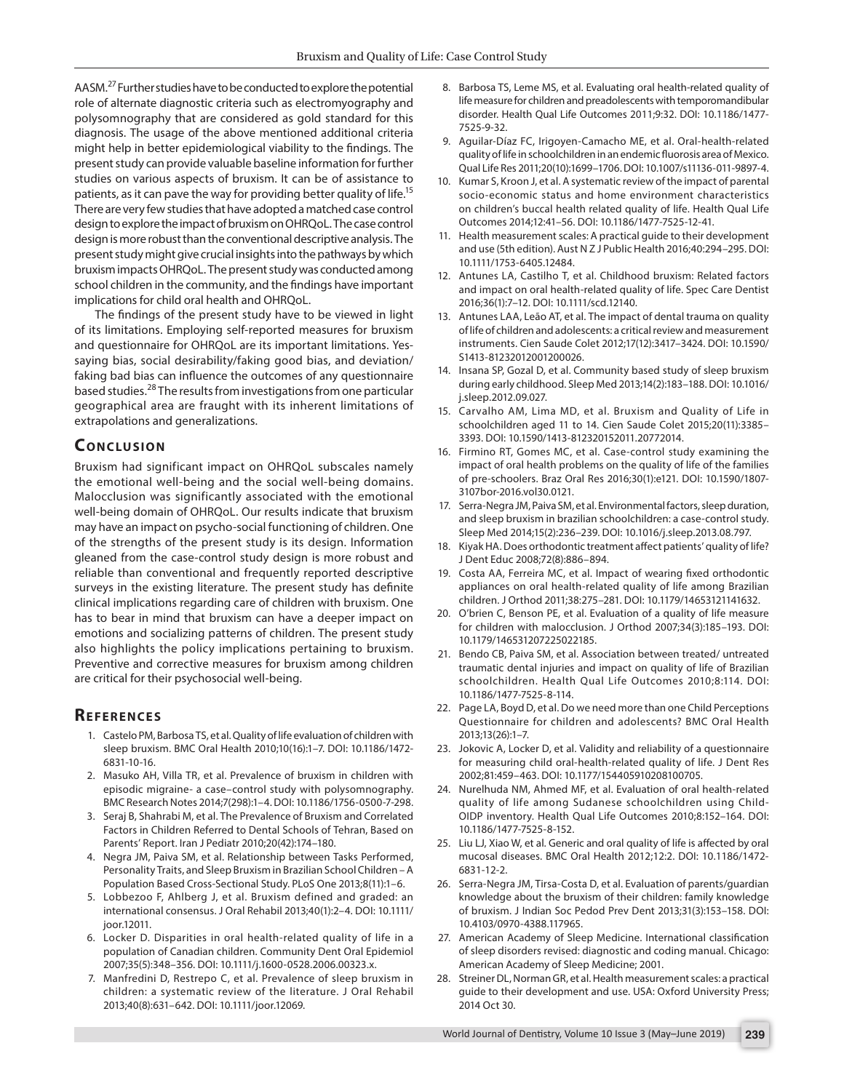AASM.27 Further studies have to be conducted to explore the potential role of alternate diagnostic criteria such as electromyography and polysomnography that are considered as gold standard for this diagnosis. The usage of the above mentioned additional criteria might help in better epidemiological viability to the findings. The present study can provide valuable baseline information for further studies on various aspects of bruxism. It can be of assistance to patients, as it can pave the way for providing better quality of life.15 There are very few studies that have adopted a matched case control design to explore the impact of bruxism on OHRQoL. The case control design is more robust than the conventional descriptive analysis. The present study might give crucial insights into the pathways by which bruxism impacts OHRQoL. The present study was conducted among school children in the community, and the findings have important implications for child oral health and OHRQoL.

The findings of the present study have to be viewed in light of its limitations. Employing self-reported measures for bruxism and questionnaire for OHRQoL are its important limitations. Yessaying bias, social desirability/faking good bias, and deviation/ faking bad bias can influence the outcomes of any questionnaire based studies.28 The results from investigations from one particular geographical area are fraught with its inherent limitations of extrapolations and generalizations.

# **CONCLUSION**

Bruxism had significant impact on OHRQoL subscales namely the emotional well-being and the social well-being domains. Malocclusion was significantly associated with the emotional well-being domain of OHRQoL. Our results indicate that bruxism may have an impact on psycho-social functioning of children. One of the strengths of the present study is its design. Information gleaned from the case-control study design is more robust and reliable than conventional and frequently reported descriptive surveys in the existing literature. The present study has definite clinical implications regarding care of children with bruxism. One has to bear in mind that bruxism can have a deeper impact on emotions and socializing patterns of children. The present study also highlights the policy implications pertaining to bruxism. Preventive and corrective measures for bruxism among children are critical for their psychosocial well-being.

# **REFERENCES**

- 1. Castelo PM, Barbosa TS, et al. Quality of life evaluation of children with sleep bruxism. BMC Oral Health 2010;10(16):1–7. DOI: 10.1186/1472- 6831-10-16.
- 2. Masuko AH, Villa TR, et al. Prevalence of bruxism in children with episodic migraine- a case–control study with polysomnography. BMC Research Notes 2014;7(298):1–4. DOI: 10.1186/1756-0500-7-298.
- 3. Seraj B, Shahrabi M, et al. The Prevalence of Bruxism and Correlated Factors in Children Referred to Dental Schools of Tehran, Based on Parents' Report. Iran J Pediatr 2010;20(42):174–180.
- 4. Negra JM, Paiva SM, et al. Relationship between Tasks Performed, Personality Traits, and Sleep Bruxism in Brazilian School Children – A Population Based Cross-Sectional Study. PLoS One 2013;8(11):1–6.
- 5. Lobbezoo F, Ahlberg J, et al. Bruxism defined and graded: an international consensus. J Oral Rehabil 2013;40(1):2–4. DOI: 10.1111/ joor.12011.
- 6. Locker D. Disparities in oral health-related quality of life in a population of Canadian children. Community Dent Oral Epidemiol 2007;35(5):348–356. DOI: 10.1111/j.1600-0528.2006.00323.x.
- 7. Manfredini D, Restrepo C, et al. Prevalence of sleep bruxism in children: a systematic review of the literature. J Oral Rehabil 2013;40(8):631–642. DOI: 10.1111/joor.12069.
- 8. Barbosa TS, Leme MS, et al. Evaluating oral health-related quality of life measure for children and preadolescents with temporomandibular disorder. Health Qual Life Outcomes 2011;9:32. DOI: 10.1186/1477- 7525-9-32.
- 9. Aguilar-Díaz FC, Irigoyen-Camacho ME, et al. Oral-health-related quality of life in schoolchildren in an endemic fluorosis area of Mexico. Qual Life Res 2011;20(10):1699–1706. DOI: 10.1007/s11136-011-9897-4.
- 10. Kumar S, Kroon J, et al. A systematic review of the impact of parental socio-economic status and home environment characteristics on children's buccal health related quality of life. Health Qual Life Outcomes 2014;12:41–56. DOI: 10.1186/1477-7525-12-41.
- 11. Health measurement scales: A practical guide to their development and use (5th edition). Aust N Z J Public Health 2016;40:294–295. DOI: 10.1111/1753-6405.12484.
- 12. Antunes LA, Castilho T, et al. Childhood bruxism: Related factors and impact on oral health-related quality of life. Spec Care Dentist 2016;36(1):7–12. DOI: 10.1111/scd.12140.
- 13. Antunes LAA, Leão AT, et al. The impact of dental trauma on quality of life of children and adolescents: a critical review and measurement instruments. Cien Saude Colet 2012;17(12):3417–3424. DOI: 10.1590/ S1413-81232012001200026.
- 14. Insana SP, Gozal D, et al. Community based study of sleep bruxism during early childhood. Sleep Med 2013;14(2):183–188. DOI: 10.1016/ j.sleep.2012.09.027.
- 15. Carvalho AM, Lima MD, et al. Bruxism and Quality of Life in schoolchildren aged 11 to 14. Cien Saude Colet 2015;20(11):3385– 3393. DOI: 10.1590/1413-812320152011.20772014.
- 16. Firmino RT, Gomes MC, et al. Case-control study examining the impact of oral health problems on the quality of life of the families of pre-schoolers. Braz Oral Res 2016;30(1):e121. DOI: 10.1590/1807- 3107bor-2016.vol30.0121.
- 17. Serra-Negra JM, Paiva SM, et al. Environmental factors, sleep duration, and sleep bruxism in brazilian schoolchildren: a case-control study. Sleep Med 2014;15(2):236–239. DOI: 10.1016/j.sleep.2013.08.797.
- 18. Kiyak HA. Does orthodontic treatment affect patients' quality of life? J Dent Educ 2008;72(8):886–894.
- 19. Costa AA, Ferreira MC, et al. Impact of wearing fixed orthodontic appliances on oral health-related quality of life among Brazilian children. J Orthod 2011;38:275–281. DOI: 10.1179/14653121141632.
- 20. O'brien C, Benson PE, et al. Evaluation of a quality of life measure for children with malocclusion. J Orthod 2007;34(3):185–193. DOI: 10.1179/146531207225022185.
- 21. Bendo CB, Paiva SM, et al. Association between treated/ untreated traumatic dental injuries and impact on quality of life of Brazilian schoolchildren. Health Qual Life Outcomes 2010;8:114. DOI: 10.1186/1477-7525-8-114.
- 22. Page LA, Boyd D, et al. Do we need more than one Child Perceptions Questionnaire for children and adolescents? BMC Oral Health 2013;13(26):1–7.
- 23. Jokovic A, Locker D, et al. Validity and reliability of a questionnaire for measuring child oral-health-related quality of life. J Dent Res 2002;81:459–463. DOI: 10.1177/154405910208100705.
- 24. Nurelhuda NM, Ahmed MF, et al. Evaluation of oral health-related quality of life among Sudanese schoolchildren using Child-OIDP inventory. Health Qual Life Outcomes 2010;8:152–164. DOI: 10.1186/1477-7525-8-152.
- 25. Liu LJ, Xiao W, et al. Generic and oral quality of life is affected by oral mucosal diseases. BMC Oral Health 2012;12:2. DOI: 10.1186/1472- 6831-12-2.
- 26. Serra-Negra JM, Tirsa-Costa D, et al. Evaluation of parents/guardian knowledge about the bruxism of their children: family knowledge of bruxism. J Indian Soc Pedod Prev Dent 2013;31(3):153–158. DOI: 10.4103/0970-4388.117965.
- 27. American Academy of Sleep Medicine. International classification of sleep disorders revised: diagnostic and coding manual. Chicago: American Academy of Sleep Medicine; 2001.
- 28. Streiner DL, Norman GR, et al. Health measurement scales: a practical guide to their development and use. USA: Oxford University Press; 2014 Oct 30.